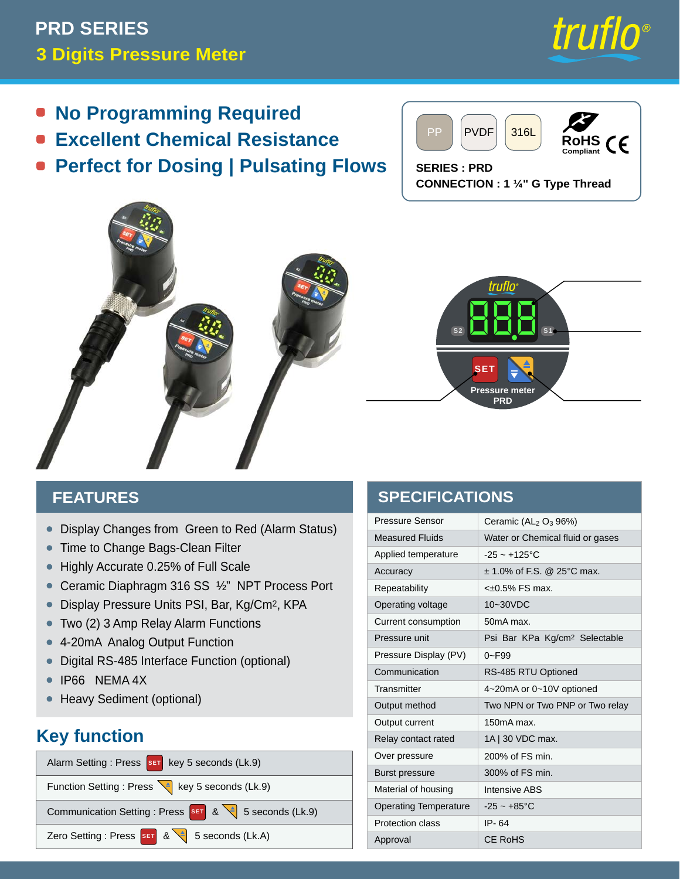# **3 Digits Pressure Meter PRD SERIES**



- **No Programming Required**  $\bullet$
- **Excellent Chemical Resistance**
- **Perfect for Dosing | Pulsating Flows**



**SERIES : PRD CONNECTION : 1 ¼" G Type Thread**





#### **FEATURES**

- Display Changes from Green to Red (Alarm Status) •
- Time to Change Bags-Clean Filter
- Highly Accurate 0.25% of Full Scale
- Ceramic Diaphragm 316 SS ½" NPT Process Port
- Display Pressure Units PSI, Bar, Kg/Cm2, KPA
- Two (2) 3 Amp Relay Alarm Functions
- 4-20mA Analog Output Function
- Digital RS-485 Interface Function (optional)
- IP66 NEMA 4X •
- Heavy Sediment (optional)

## **Key function**

| Alarm Setting : Press SET key 5 seconds (Lk.9)       |  |
|------------------------------------------------------|--|
| Function Setting : Press \  key 5 seconds (Lk.9)     |  |
| Communication Setting : Press SET & 3 Seconds (Lk.9) |  |
| Zero Setting : Press SET & 3 Seconds (Lk.A)          |  |

## **SPECIFICATIONS**

| Pressure Sensor              | Ceramic $(AL2 O3 96%)$                    |  |  |
|------------------------------|-------------------------------------------|--|--|
| <b>Measured Fluids</b>       | Water or Chemical fluid or gases          |  |  |
| Applied temperature          | $-25 - +125$ °C                           |  |  |
| Accuracy                     | $\pm$ 1.0% of F.S. @ 25°C max.            |  |  |
| Repeatability                | $<\pm 0.5\%$ FS max.                      |  |  |
| Operating voltage            | 10~30VDC                                  |  |  |
| Current consumption          | 50mA max.                                 |  |  |
| Pressure unit                | Psi Bar KPa Kg/cm <sup>2</sup> Selectable |  |  |
| Pressure Display (PV)        | $0 - F99$                                 |  |  |
| Communication                | RS-485 RTU Optioned                       |  |  |
| Transmitter                  | 4~20mA or 0~10V optioned                  |  |  |
| Output method                | Two NPN or Two PNP or Two relay           |  |  |
| Output current               | $150mA$ max.                              |  |  |
| Relay contact rated          | 1A   30 VDC max.                          |  |  |
| Over pressure                | 200% of FS min.                           |  |  |
| <b>Burst pressure</b>        | 300% of FS min.                           |  |  |
| Material of housing          | <b>Intensive ABS</b>                      |  |  |
| <b>Operating Temperature</b> | $-25 - +85$ °C                            |  |  |
| <b>Protection class</b>      | IP-64                                     |  |  |
| Approval                     | CE RoHS                                   |  |  |